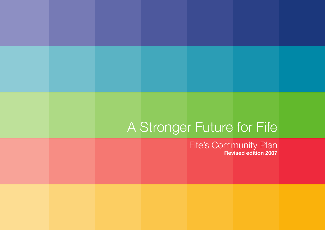# A Stronger Future for Fife

Fife's Community Plan **Revised edition 2007**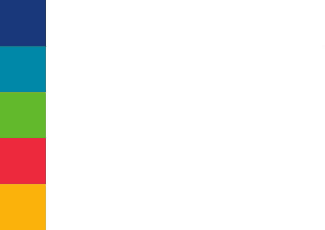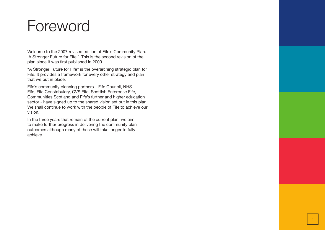# Foreword

Welcome to the 2007 revised edition of Fife's Community Plan: 'A Stronger Future for Fife.' This is the second revision of the plan since it was first published in 2000.

"A Stronger Future for Fife" is the overarching strategic plan for Fife. It provides a framework for every other strategy and plan that we put in place.

Fife's community planning partners – Fife Council, NHS Fife, Fife Constabulary, CVS Fife, Scottish Enterprise Fife, Communities Scotland and Fife's further and higher education sector - have signed up to the shared vision set out in this plan. We shall continue to work with the people of Fife to achieve our vision.

In the three years that remain of the current plan, we aim to make further progress in delivering the community plan outcomes although many of these will take longer to fully achieve.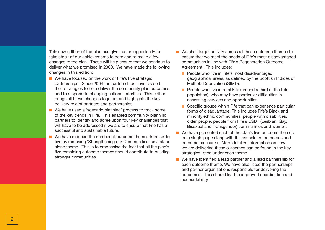This new edition of the plan has given us an opportunity to take stock of our achievements to date and to make a few changes to the plan. These will help ensure that we continue to deliver what we promised in 2000. We have made the following changes in this edition:

- We have focused on the work of Fife's five strategic partnerships. Since 2004 the partnerships have revised their strategies to help deliver the community plan outcomes and to respond to changing national priorities. This edition brings all these changes together and highlights the key delivery role of partners and partnerships.
- We have used a 'scenario planning' process to track some of the key trends in Fife. This enabled community planning partners to identify and agree upon four key challenges that will have to be addressed if we are to ensure that Fife has a successful and sustainable future.
- We have reduced the number of outcome themes from six to five by removing 'Strengthening our Communities' as a stand alone theme. This is to emphasise the fact that all the plan's five remaining outcome themes should contribute to building stronger communities.
- We shall target activity across all these outcome themes to ensure that we meet the needs of Fife's most disadvantaged communities in line with Fife's Regeneration Outcome Agreement. This includes:
	- People who live in Fife's most disadvantaged geographical areas, as defined by the Scottish Indices of Multiple Deprivation (SIMD).
	- People who live in rural Fife (around a third of the total population), who may have particular difficulties in accessing services and opportunities.
	- Specific groups within Fife that can experience particular forms of disadvantage. This includes Fife's Black and minority ethnic communities, people with disabilities, older people, people from Fife's LGBT (Lesbian, Gay, Bisexual and Transgender) communities and women.
- We have presented each of the plan's five outcome themes on a single page along with the associated outcomes and outcome measures. More detailed information on how we are delivering these outcomes can be found in the key strategies listed under each theme.
- We have identified a lead partner and a lead partnership for each outcome theme. We have also listed the partnerships and partner organisations responsible for delivering the outcomes. This should lead to improved coordination and accountability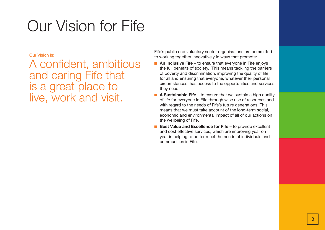# Our Vision for Fife

#### Our Vision is:

A confident, ambitious and caring Fife that is a great place to live, work and visit.

Fife's public and voluntary sector organisations are committed to working together innovatively in ways that promote:

- **An Inclusive Fife** to ensure that everyone in Fife enjoys the full benefits of society. This means tackling the barriers of poverty and discrimination, improving the quality of life for all and ensuring that everyone, whatever their personal circumstances, has access to the opportunities and services they need.
- **A Sustainable Fife** to ensure that we sustain a high quality of life for everyone in Fife through wise use of resources and with regard to the needs of Fife's future generations. This means that we must take account of the long-term social, economic and environmental impact of all of our actions on the wellbeing of Fife.
- **Best Value and Excellence for Fife** to provide excellent and cost effective services, which are improving year on year in helping to better meet the needs of individuals and communities in Fife.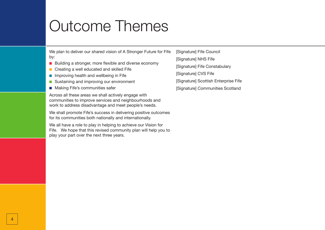# Outcome Themes

We plan to deliver our shared vision of A Stronger Future for Fife by:

- Building a stronger, more flexible and diverse economy
- Creating a well educated and skilled Fife
- Improving health and wellbeing in Fife
- Sustaining and improving our environment
- Making Fife's communities safer

Across all these areas we shall actively engage with communities to improve services and neighbourhoods and work to address disadvantage and meet people's needs.

We shall promote Fife's success in delivering positive outcomes for its communities both nationally and internationally.

We all have a role to play in helping to achieve our Vision for Fife. We hope that this revised community plan will help you to play your part over the next three years.

[Signature] Fife Council [Signature] NHS Fife [Signature] Fife Constabulary [Signature] CVS Fife [Signature] Scottish Enterprise Fife [Signature] Communities Scotland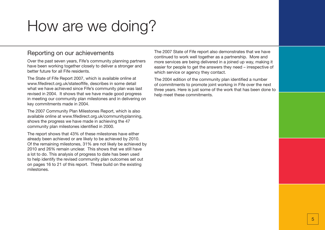# How are we doing?

#### Reporting on our achievements

Over the past seven years, Fife's community planning partners have been working together closely to deliver a stronger and better future for all Fife residents.

The State of Fife Report 2007, which is available online at www.fifedirect.org.uk/stateoffife, describes in some detail what we have achieved since Fife's community plan was last revised in 2004. It shows that we have made good progress in meeting our community plan milestones and in delivering on key commitments made in 2004.

The 2007 Community Plan Milestones Report, which is also available online at www.fifedirect.org.uk/communityplanning, shows the progress we have made in achieving the 47 community plan milestones identified in 2000.

The report shows that 43% of these milestones have either already been achieved or are likely to be achieved by 2010. Of the remaining milestones, 31% are not likely be achieved by 2010 and 26% remain unclear. This shows that we still have a lot to do. This analysis of progress to date has been used to help identify the revised community plan outcomes set out on pages 16 to 21 of this report. These build on the existing milestones.

The 2007 State of Fife report also demonstrates that we have continued to work well together as a partnership. More and more services are being delivered in a joined up way, making it easier for people to get the answers they need – irrespective of which service or agency they contact.

The 2004 edition of the community plan identified a number of commitments to promote joint working in Fife over the next three years. Here is just some of the work that has been done to help meet these commitments.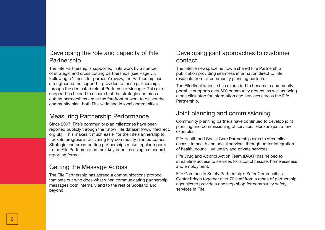### Developing the role and capacity of Fife Partnership

The Fife Partnership is supported in its work by a number of strategic and cross cutting partnerships (see Page…). Following a 'fitness for purpose' review, the Partnership has strengthened the support it provides to these partnerships through the dedicated role of Partnership Manager. This extra support has helped to ensure that the strategic and crosscutting partnerships are at the forefront of work to deliver the community plan, both Fife-wide and in local communities.

### Measuring Partnership Performance

Since 2007, Fife's community plan milestones have been reported publicly through the Know Fife dataset (www.fifedirect. org.uk). This makes it much easier for the Fife Partnership to track its progress in delivering key community plan outcomes. Strategic and cross-cutting partnerships make regular reports to the Fife Partnership on their key priorities using a standard reporting format.

### Getting the Message Across

The Fife Partnership has agreed a communications protocol that sets out who does what when communicating partnership messages both internally and to the rest of Scotland and beyond.

### Developing joint approaches to customer contact

The Fifelife newspaper is now a shared Fife Partnership publication providing seamless information direct to Fife residents from all community planning partners.

The Fifedirect website has expanded to become a community portal. It supports over 600 community groups, as well as being a one click stop for information and services across the Fife Partnership.

### Joint planning and commissioning

Community planning partners have continued to develop joint planning and commissioning of services. Here are just a few examples:

Fife Health and Social Care Partnership aims to streamline access to health and social services through better integration of health, council, voluntary and private services.

Fife Drug and Alcohol Action Team (DAAT) has helped to streamline access to services for alcohol misuse, homelessness and employment.

Fife Community Safety Partnership's Safer Communities Centre brings together over 70 staff from a range of partnership agencies to provide a one stop shop for community safety services in Fife.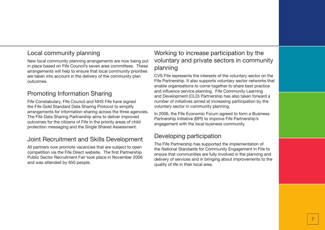## Local community planning

New local community planning arrangements are now being put in place based on Fife Council's seven area committees. These arrangements will help to ensure that local community priorities are taken into account in the delivery of the community plan outcomes.

## Promoting Information Sharing

Fife Constabulary, Fife Council and NHS Fife have signed the Fife Gold Standard Data Sharing Protocol to simplify arrangements for information sharing across the three agencies. The Fife Data Sharing Partnership aims to deliver improved outcomes for the citizens of Fife in the priority areas of child protection messaging and the Single Shared Assessment.

## Joint Recruitment and Skills Development

All partners now promote vacancies that are subject to open competition via the Fife Direct website. The first Partnership Public Sector Recruitment Fair took place in November 2006 and was attended by 650 people.

### Working to increase participation by the voluntary and private sectors in community planning

CVS Fife represents the interests of the voluntary sector on the Fife Partnership. It also supports voluntary sector networks that enable organisations to come together to share best practice and influence service planning. Fife Community Learning and Development (CLD) Partnership has also taken forward a number of initiatives aimed at increasing participation by the voluntary sector in community planning.

In 2006, the Fife Economic Forum agreed to form a Business Partnership Initiative (BPI) to improve Fife Partnership's engagement with the local business community.

### Developing participation

The Fife Partnership has supported the implementation of the National Standards for Community Engagement in Fife to ensure that communities are fully involved in the planning and delivery of services and in bringing about improvements to the quality of life in their local area.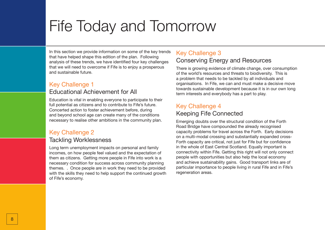# Fife Today and Tomorrow

In this section we provide information on some of the key trends that have helped shape this edition of the plan. Following analysis of these trends, we have identified four key challenges that we will need to overcome if Fife is to enjoy a prosperous and sustainable future.

### Key Challenge 1 Educational Achievement for All

Education is vital in enabling everyone to participate to their full potential as citizens and to contribute to Fife's future. Concerted action to foster achievement before, during and beyond school age can create many of the conditions necessary to realise other ambitions in the community plan.

### Key Challenge 2 Tackling Worklessness

Long term unemployment impacts on personal and family incomes, on how people feel valued and the expectation of them as citizens. Getting more people in Fife into work is a necessary condition for success across community planning themes. . Once people are in work they need to be provided with the skills they need to help support the continued growth of Fife's economy.

## Key Challenge 3

### Conserving Energy and Resources

There is growing evidence of climate change, over consumption of the world's resources and threats to biodiversity. This is a problem that needs to be tackled by all individuals and organisations. In Fife, we can and must make a decisive move towards sustainable development because it is in our own long term interests and everybody has a part to play.

### Key Challenge 4 Keeping Fife Connected

Emerging doubts over the structural condition of the Forth Road Bridge have compounded the already recognised capacity problems for travel across the Forth. Early decisions on a multi-modal crossing and substantially expanded cross-Forth capacity are critical, not just for Fife but for confidence in the whole of East Central Scotland. Equally important is connectivity within Fife. Getting this right will not only connect people with opportunities but also help the local economy and achieve sustainability gains. Good transport links are of particular importance to people living in rural Fife and in Fife's regeneration areas.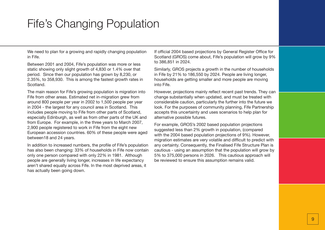## Fife's Changing Population

We need to plan for a growing and rapidly changing population in Fife.

Between 2001 and 2004, Fife's population was more or less static showing only slight growth of 4,830 or 1.4% over that period. Since then our population has grown by 8,230, or 2.35%, to 358,930. This is among the fastest growth rates in Scotland.

The main reason for Fife's growing population is migration into Fife from other areas. Estimated net in-migration grew from around 800 people per year in 2002 to 1,500 people per year in 2004 - the largest for any council area in Scotland. This includes people moving to Fife from other parts of Scotland, especially Edinburgh, as well as from other parts of the UK and from Europe. For example, in the three years to March 2007, 2,900 people registered to work in Fife from the eight new European accession countries. 60% of these people were aged between18 and 24 years.

In addition to increased numbers, the profile of Fife's population has also been changing: 33% of households in Fife now contain only one person compared with only 22% in 1981. Although people are generally living longer, increases in life expectancy aren't shared equally across Fife. In the most deprived areas, it has actually been going down.

If official 2004 based projections by General Register Office for Scotland (GROS) come about, Fife's population will grow by 9% to 386,851 in 2024.

Similarly, GROS projects a growth in the number of households in Fife by 21% to 186,550 by 2024. People are living longer, households are getting smaller and more people are moving into Fife.

However, projections mainly reflect recent past trends. They can change substantially when updated, and must be treated with considerable caution, particularly the further into the future we look. For the purposes of community planning, Fife Partnership accepts this uncertainty and uses scenarios to help plan for alternative possible futures.

For example, GROS's 2002 based population projections suggested less than 2% growth in population, (compared with the 2004 based population projections of 9%). However, migration estimates are very volatile and difficult to predict with any certainty. Consequently, the Finalised Fife Structure Plan is cautious - using an assumption that the population will grow by 5% to 375,000 persons in 2026. This cautious approach will be reviewed to ensure this assumption remains valid.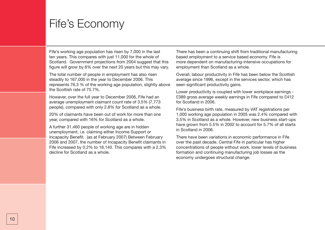## Fife's Economy

Fife's working age population has risen by 7,000 in the last ten years. This compares with just 11,000 for the whole of Scotland. Government projections from 2004 suggest that this figure will grow by 6% over the next 20 years but this may vary.

The total number of people in employment has also risen steadily to 167,000 in the year to December 2006. This represents 76.3 % of the working age population, slightly above the Scottish rate of 75.7%.

However, over the full year to December 2006, Fife had an average unemployment claimant count rate of 3.5% (7,773 people), compared with only 2.8% for Scotland as a whole.

20% of claimants have been out of work for more than one year, compared with 16% for Scotland as a whole.

A further 31,460 people of working age are in hidden unemployment, i.e. claiming either Income Support or Incapacity Benefit. (as at February 2007) Between February 2006 and 2007, the number of Incapacity Benefit claimants in Fife increased by 0.2% to 18,140. This compares with a 2.3% decline for Scotland as a whole.

There has been a continuing shift from traditional manufacturing based employment to a service based economy. Fife is more dependent on manufacturing-intensive occupations for employment than Scotland as a whole.

Overall, labour productivity in Fife has been below the Scottish average since 1996, except in the services sector, which has seen significant productivity gains.

Lower productivity is coupled with lower workplace earnings - £389 gross average weekly earnings in Fife compared to £412 for Scotland in 2006.

Fife's business birth rate, measured by VAT registrations per 1,000 working age population in 2005 was 2.4% compared with 3.5% in Scotland as a whole. However, new business start-ups have grown from 5.5% in 2002 to account for 5.7% of all starts in Scotland in 2006.

There have been variations in economic performance in Fife over the past decade. Central Fife in particular has higher concentrations of people without work, lower levels of business formation and continuing manufacturing job losses as the economy undergoes structural change.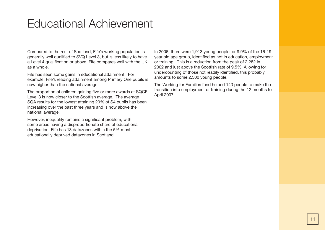## **Educational Achievement**

Compared to the rest of Scotland, Fife's working population is generally well qualified to SVQ Level 3, but is less likely to have a Level 4 qualification or above. Fife compares well with the UK as a whole.

Fife has seen some gains in educational attainment. For example, Fife's reading attainment among Primary One pupils is now higher than the national average.

The proportion of children gaining five or more awards at SQCF Level 3 is now closer to the Scottish average. The average SQA results for the lowest attaining 20% of S4 pupils has been increasing over the past three years and is now above the national average.

However, inequality remains a significant problem, with some areas having a disproportionate share of educational deprivation. Fife has 13 datazones within the 5% most educationally deprived datazones in Scotland.

In 2006, there were 1,913 young people, or 9.9% of the 16-19 year old age group, identified as not in education, employment or training. This is a reduction from the peak of 2,282 in 2002 and just above the Scottish rate of 9.5%. Allowing for undercounting of those not readily identified, this probably amounts to some 2,300 young people.

The Working for Families fund helped 143 people to make the transition into employment or training during the 12 months to April 2007.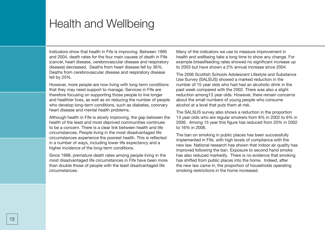## Health and Wellbeing

Indicators show that health in Fife is improving. Between 1995 and 2004, death rates for the four main causes of death in Fife (cancer, heart disease, cerebrovascular disease and respiratory disease) decreased. Deaths from heart disease fell by 36%. Deaths from cerebrovascular disease and respiratory disease fell by 25%.

However, more people are now living with long-term conditions that they may need support to manage. Services in Fife are therefore focusing on supporting those people to live longer and healthier lives, as well as on reducing the number of people who develop long-term conditions, such as diabetes, coronary heart disease and mental health problems.

Although health in Fife is slowly improving, the gap between the health of the least and most deprived communities continues to be a concern. There is a clear link between health and life circumstances. People living in the most disadvantaged life circumstances experience the poorest health. This is reflected in a number of ways, including lower life expectancy and a higher incidence of the long-term conditions.

Since 1998, premature death rates among people living in the most disadvantaged life circumstances in Fife have been more than double those of people with the least disadvantaged life circumstances.

Many of the indicators we use to measure improvement in health and wellbeing take a long time to show any change. For example breastfeeding rates showed no significant increase up to 2003 but have shown a 2% annual increase since 2004.

The 2006 Scottish Schools Adolescent Lifestyle and Substance Use Survey (SALSUS) showed a marked reduction in the number of 15 year olds who had had an alcoholic drink in the past week compared with the 2002. There was also a slight reduction among13 year olds. However, there remain concerns about the small numbers of young people who consume alcohol at a level that puts them at risk.

The SALSUS survey also shows a reduction in the proportion 13 year olds who are regular smokers from 8% in 2002 to 6% in 2006. Among 15 year this figure has reduced from 20% in 2002 to 16% in 2006.

The ban on smoking in public places has been successfully implemented in Fife, with high levels of compliance with the new law. National research has shown that indoor air quality has improved following the ban. Exposure to second hand smoke has also reduced markedly. There is no evidence that smoking has shifted from public places into the home. Indeed, after the new law came in, the proportion of households operating smoking restrictions in the home increased.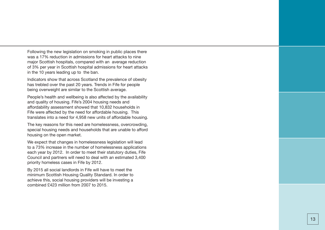Following the new legislation on smoking in public places there was a 17% reduction in admissions for heart attacks to nine major Scottish hospitals, compared with an average reduction of 3% per year in Scottish hospital admissions for heart attacks in the 10 years leading up to the ban.

Indicators show that across Scotland the prevalence of obesity has trebled over the past 20 years. Trends in Fife for people being overweight are similar to the Scottish average.

People's health and wellbeing is also affected by the availability and quality of housing. Fife's 2004 housing needs and affordability assessment showed that 10,832 households in Fife were affected by the need for affordable housing. This translates into a need for 4,958 new units of affordable housing.

The key reasons for this need are homelessness, overcrowding, special housing needs and households that are unable to afford housing on the open market.

We expect that changes in homelessness legislation will lead to a 73% increase in the number of homelessness applications each year by 2012. In order to meet their statutory duties, Fife Council and partners will need to deal with an estimated 3,400 priority homeless cases in Fife by 2012.

By 2015 all social landlords in Fife will have to meet the minimum Scottish Housing Quality Standard. In order to achieve this, social housing providers will be investing a combined £423 million from 2007 to 2015.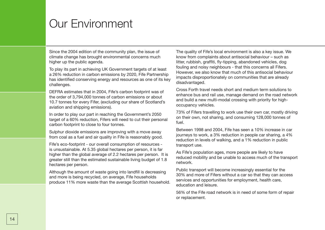## Our Environment

Since the 2004 edition of the community plan, the issue of climate change has brought environmental concerns much higher up the public agenda.

To play its part in achieving UK Government targets of at least a 26% reduction in carbon emissions by 2020, Fife Partnership has identified conserving energy and resources as one of its key challenges.

DEFRA estimates that in 2004, Fife's carbon footprint was of the order of 3,794,000 tonnes of carbon emissions or about 10.7 tonnes for every Fifer, (excluding our share of Scotland's aviation and shipping emissions).

In order to play our part in reaching the Government's 2050 target of a 60% reduction, Fifers will need to cut their personal carbon footprint to close to four tonnes.

Sulphur dioxide emissions are improving with a move away from coal as a fuel and air quality in Fife is reasonably good.

Fife's eco-footprint - our overall consumption of resources is unsustainable. At 5.35 global hectares per person, it is far higher than the global average of 2.2 hectares per person. It is greater still than the estimated sustainable living budget of 1.8 hectares per person.

Although the amount of waste going into landfill is decreasing and more is being recycled, on average, Fife households produce 11% more waste than the average Scottish household. The quality of Fife's local environment is also a key issue. We know from complaints about antisocial behaviour – such as litter, rubbish, graffiti, fly-tipping, abandoned vehicles, dog fouling and noisy neighbours - that this concerns all Fifers. However, we also know that much of this antisocial behaviour impacts disproportionately on communities that are already disadvantaged.

Cross Forth travel needs short and medium term solutions to enhance bus and rail use, manage demand on the road network and build a new multi-modal crossing with priority for highoccupancy vehicles.

73% of Fifers travelling to work use their own car, mostly driving on their own, not sharing, and consuming 128,000 tonnes of fuel.

Between 1998 and 2004, Fife has seen a 10% increase in car journeys to work, a 3% reduction in people car sharing, a 4% reduction in levels of walking, and a 1% reduction in public transport use.

As Fife's population ages, more people are likely to have reduced mobility and be unable to access much of the transport network.

Public transport will become increasingly essential for the 30% and more of Fifers without a car so that they can access services and opportunities for employment, health care, education and leisure.

56% of the Fife road network is in need of some form of repair or replacement.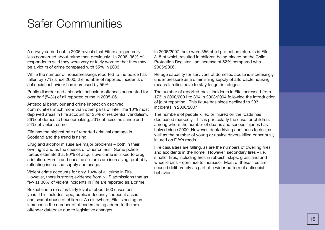## Safer Communities

A survey carried out in 2006 reveals that Fifers are generally less concerned about crime than previously. In 2006, 36% of respondents said they were very or fairly worried that they may be a victim of crime compared with 55% in 2003.

While the number of housebreakings reported to the police has fallen by 77% since 2000, the number of reported incidents of antisocial behaviour has increased by 56%.

Public disorder and antisocial behaviour offences accounted for over half (54%) of all reported crime in 2005-06.

Antisocial behaviour and crime impact on deprived communities much more than other parts of Fife. The 10% most deprived areas in Fife account for 25% of residential vandalism, 26% of domestic housebreaking, 23% of noise nuisance and 24% of violent crime.

Fife has the highest rate of reported criminal damage in Scotland and the trend is rising.

Drug and alcohol misuse are major problems – both in their own right and as the causes of other crimes. Some police forces estimate that 80% of acquisitive crime is linked to drug addiction. Heroin and cocaine seizures are increasing; probably reflecting increased supply and usage.

Violent crime accounts for only 1.4% of all crime in Fife. However, there is strong evidence from NHS admissions that as few as 30% of violent incidents in Fife are reported as a crime.

Sexual crime remains fairly level at about 500 cases per year. This includes rape, public indecency, indecent assault and sexual abuse of children. As elsewhere, Fife is seeing an increase in the number of offenders being added to the sex offender database due to legislative changes.

In 2006/2007 there were 556 child protection referrals in Fife, 315 of which resulted in children being placed on the Child Protection Register - an increase of 52% compared with 2005/2006.

Refuge capacity for survivors of domestic abuse is increasingly under pressure as a diminishing supply of affordable housing means families have to stay longer in refuges.

The number of reported racial incidents in Fife increased from 173 in 2000/2001 to 394 in 2003/2004 following the introduction of joint reporting. This figure has since declined to 293 incidents in 2006/2007.

The numbers of people killed or injured on the roads has decreased markedly. This is particularly the case for children, among whom the number of deaths and serious injuries has halved since 2000. However, drink driving continues to rise, as well as the number of young or novice drivers killed or seriously injured on Fife's roads.

Fire casualties are falling, as are the numbers of dwelling fires and accidents in the home. However, secondary fires – i.e. smaller fires, including fires in rubbish, skips, grassland and wheelie bins – continue to increase. Most of these fires are caused deliberately as part of a wider pattern of antisocial behaviour.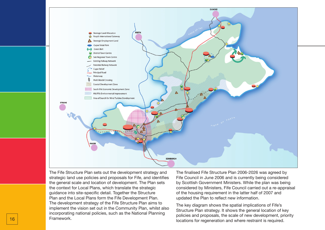

The Fife Structure Plan sets out the development strategy and strategic land use policies and proposals for Fife, and identifies the general scale and location of development. The Plan sets the context for Local Plans, which translate the strategic guidance into site-specific detail. Together the Structure Plan and the Local Plans form the Fife Development Plan. The development strategy of the Fife Structure Plan aims to implement the vision set out in the Community Plan, whilst also incorporating national policies, such as the National Planning Framework.

The finalised Fife Structure Plan 2006-2026 was agreed by Fife Council in June 2006 and is currently being considered by Scottish Government Ministers. While the plan was being considered by Ministers, Fife Council carried out a re-appraisal of the housing requirement in the latter half of 2007 and updated the Plan to reflect new information.

The key diagram shows the spatial implications of Fife's Structure Plan strategy. It shows the general location of key policies and proposals, the scale of new development, priority **locations for regeneration and where restraint is required.** The regeneration and where restraint is required.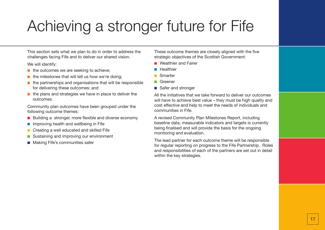# Achieving a stronger future for Fife

This section sets what we plan to do in order to address the challenges facing Fife and to deliver our shared vision.

We will identify:

- the outcomes we are seeking to achieve;
- $\blacksquare$  the milestones that will tell us how we're doing;
- the partnerships and organisations that will be responsible for delivering these outcomes; and
- the plans and strategies we have in place to deliver the outcomes.

Community plan outcomes have been grouped under the following outcome themes:

- Building a stronger, more flexible and diverse economy
- Improving health and wellbeing in Fife
- Creating a well educated and skilled Fife
- Sustaining and improving our environment
- Making Fife's communities safer

These outcome themes are closely aligned with the five strategic objectives of the Scottish Government:

- Wealthier and Fairer
- **Healthier**
- **Smarter**
- Greener
- Safer and stronger

All the initiatives that we take forward to deliver our outcomes will have to achieve best value – they must be high quality and cost effective and help to meet the needs of individuals and communities in Fife.

A revised Community Plan Milestones Report, including baseline data, measurable indicators and targets is currently being finalised and will provide the basis for the ongoing monitoring and evaluation.

The lead partner for each outcome theme will be responsible for regular reporting on progress to the Fife Partnership. Roles and responsibilities of each of the partners are set out in detail within the key strategies.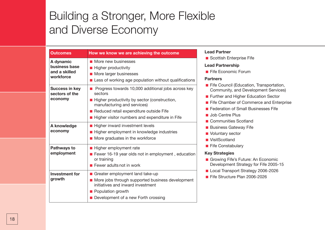## Building a Stronger, More Flexible and Diverse Economy

| <b>Outcomes</b>                                          | How we know we are achieving the outcome                                                                                                                                                                                                                                                             | <b>Lead Partner</b>                                                                                                                                                                                                                          |  |
|----------------------------------------------------------|------------------------------------------------------------------------------------------------------------------------------------------------------------------------------------------------------------------------------------------------------------------------------------------------------|----------------------------------------------------------------------------------------------------------------------------------------------------------------------------------------------------------------------------------------------|--|
| A dynamic<br>business base<br>and a skilled<br>workforce | More new businesses<br>$\blacksquare$ Higher productivity<br>More larger businesses                                                                                                                                                                                                                  | Scottish Enterprise Fife<br><b>Lead Partnership</b><br><b>Fife Economic Forum</b><br><b>Partners</b>                                                                                                                                         |  |
| <b>Success in key</b><br>sectors of the<br>economy       | Less of working age population without qualifications<br>Progress towards 10,000 additional jobs across key<br>sectors<br>■ Higher productivity by sector (construction,<br>manufacturing and services)<br>Reduced retail expenditure outside Fife<br>Higher visitor numbers and expenditure in Fife | <b>Fife Council (Education, Transportation,</b><br>Community, and Development Services)<br>Further and Higher Education Sector<br>Fife Chamber of Commerce and Enterprise<br>E Federation of Small Businesses Fife<br><b>Job Centre Plus</b> |  |
| A knowledge<br>economy                                   | Higher inward investment levels<br>Higher employment in knowledge industries<br>More graduates in the workforce                                                                                                                                                                                      | ■ Communities Scotland<br><b>Business Gateway Fife</b><br>Voluntary sector<br>■ VisitScotland                                                                                                                                                |  |
| Pathways to<br>employment                                | ■ Higher employment rate<br>Fewer 16-19 year olds not in employment, education<br>or training<br>$\blacksquare$ Fewer adults not in work                                                                                                                                                             | Fife Constabulary<br><b>Key Strategies</b><br>Growing Fife's Future: An Economic<br>Development Strategy for Fife 2005-15                                                                                                                    |  |
| <b>Investment for</b><br>growth                          | Greater employment land take-up<br>More jobs through supported business development<br>initiatives and inward investment<br>• Population growth<br>Development of a new Forth crossing                                                                                                               | Local Transport Strategy 2006-2026<br>Fife Structure Plan 2006-2026                                                                                                                                                                          |  |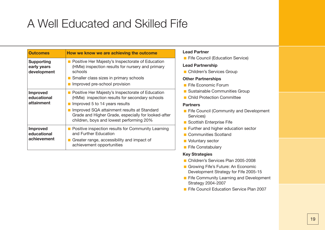## A Well Educated and Skilled Fife

| <b>Outcomes</b>                                 | How we know we are achieving the outcome                                                                                                                                                                                                                                                |
|-------------------------------------------------|-----------------------------------------------------------------------------------------------------------------------------------------------------------------------------------------------------------------------------------------------------------------------------------------|
| <b>Supporting</b><br>early years<br>development | Positive Her Majesty's Inspectorate of Education<br>(HMIe) inspection results for nursery and primary<br>schools<br>Smaller class sizes in primary schools<br>Improved pre-school provision                                                                                             |
| <b>Improved</b><br>educational<br>attainment    | Positive Her Majesty's Inspectorate of Education<br>(HMIe) inspection results for secondary schools<br>Improved 5 to 14 years results<br>Improved SQA attainment results at Standard<br>Grade and Higher Grade, especially for looked-after<br>children, boys and lowest performing 20% |
| <b>Improved</b><br>educational<br>achievement   | • Positive inspection results for Community Learning<br>and Further Education<br>Greater range, accessibility and impact of<br>achievement opportunities                                                                                                                                |

#### **Lead Partner**

■ Fife Council (Education Service)

#### **Lead Partnership**

■ Children's Services Group

#### **Other Partnerships**

- Fife Economic Forum
- Sustainable Communities Group
- Child Protection Committee

#### **Partners**

- Fife Council (Community and Development Services)
- Scottish Enterprise Fife
- Further and higher education sector
- Communities Scotland
- Voluntary sector
- Fife Constabulary

#### **Key Strategies**

- Children's Services Plan 2005-2008
- Growing Fife's Future: An Economic Development Strategy for Fife 2005-15
- Fife Community Learning and Development Strategy 2004-2007
- Fife Council Education Service Plan 2007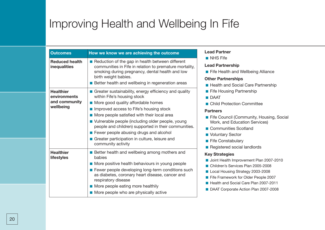## Improving Health and Wellbeing In Fife

| <b>Outcomes</b>                                                | How we know we are achieving the outcome                                                                                                                                                                                                                                                                                                                                                                                                          | <b>Lead Partner</b>                                                                                                                                                                                                                                                              |
|----------------------------------------------------------------|---------------------------------------------------------------------------------------------------------------------------------------------------------------------------------------------------------------------------------------------------------------------------------------------------------------------------------------------------------------------------------------------------------------------------------------------------|----------------------------------------------------------------------------------------------------------------------------------------------------------------------------------------------------------------------------------------------------------------------------------|
| <b>Reduced health</b><br>inequalities                          | Reduction of the gap in health between different<br>communities in Fife in relation to premature mortality,<br>smoking during pregnancy, dental health and low<br>birth weight babies.<br>Better health and wellbeing in regeneration areas                                                                                                                                                                                                       | <b>NHS</b> Fife<br><b>Lead Partnership</b><br>Fife Health and Wellbeing Alliance<br><b>Other Partnerships</b><br><b>Health and Social Care Partnership</b>                                                                                                                       |
| <b>Healthier</b><br>environments<br>and community<br>wellbeing | Greater sustainability, energy efficiency and quality<br>within Fife's housing stock<br>More good quality affordable homes<br>Improved access to Fife's housing stock<br>More people satisfied with their local area<br>Vulnerable people (including older people, young<br>people and children) supported in their communities.<br>Fewer people abusing drugs and alcohol<br>Greater participation in culture, leisure and<br>community activity | <b>Fife Housing Partnership</b><br><b>DAAT</b><br>■ Child Protection Committee<br><b>Partners</b><br>Fife Council (Community, Housing, Social<br>Work, and Education Services)<br>Communities Scotland<br>■ Voluntary Sector<br>Fife Constabulary<br>Registered social landlords |
| <b>Healthier</b><br>lifestyles                                 | <b>Better health and wellbeing among mothers and</b><br>babies<br>More positive health behaviours in young people<br>Example of Fewer people developing long-term conditions such<br>as diabetes, coronary heart disease, cancer and<br>respiratory disease<br>More people eating more healthily<br>More people who are physically active                                                                                                         | <b>Key Strategies</b><br>Joint Health Improvement Plan 2007-2010<br>Children's Services Plan 2005-2008<br>Local Housing Strategy 2003-2008<br>Fife Framework for Older People 2007<br>Health and Social Care Plan 2007-2011<br>DAAT Corporate Action Plan 2007-2008              |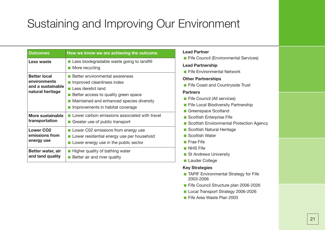## Sustaining and Improving Our Environment

| <b>Outcomes</b>                                                              | How we know we are achieving the outcome                                                                                                                                                                    |  |
|------------------------------------------------------------------------------|-------------------------------------------------------------------------------------------------------------------------------------------------------------------------------------------------------------|--|
| Less waste                                                                   | Less biodegradable waste going to landfill<br>More recycling                                                                                                                                                |  |
| <b>Better local</b><br>environments<br>and a sustainable<br>natural heritage | Better environmental awareness<br>Improved cleanliness index<br>Less derelict land<br>Better access to quality green space<br>Maintained and enhanced species diversity<br>Improvements in habitat coverage |  |
| More sustainable                                                             | Lower carbon emissions associated with travel                                                                                                                                                               |  |
| transportation                                                               | Greater use of public transport                                                                                                                                                                             |  |
| <b>Lower CO2</b>                                                             | Lower C02 emissions from energy use                                                                                                                                                                         |  |
| emissions from                                                               | Lower residential energy use per household                                                                                                                                                                  |  |
| energy use                                                                   | Lower energy use in the public sector                                                                                                                                                                       |  |
| Better water, air                                                            | Higher quality of bathing water                                                                                                                                                                             |  |
| and land quality                                                             | Better air and river quality                                                                                                                                                                                |  |

#### **Lead Partner**

■ Fife Council (Environmental Services)

#### **Lead Partnership**

■ Fife Environmental Network

#### **Other Partnerships**

■ Fife Coast and Countryside Trust

#### **Partners**

- Fife Council (All services)
- Fife Local Biodiversity Partnership
- Greenspace Scotland
- Scottish Enterprise Fife
- Scottish Environmental Protection Agency
- Scottish Natural Heritage
- Scottish Water
- Frae Fife
- NHS Fife
- St Andrews University
- Lauder College

#### **Key Strategies**

- TAPIF Environmental Strategy for Fife 2003-2006
- Fife Council Structure plan 2006-2026
- Local Transport Strategy 2006-2026
- Fife Area Waste Plan 2003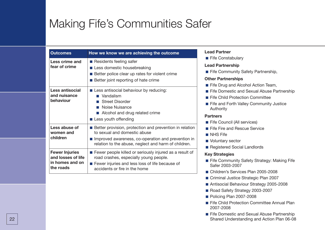## Making Fife's Communities Safer

| <b>Outcomes</b>                                                             | How we know we are achieving the outcome                                                                                                                                                              | <b>Lead Partner</b>                                                                                                                                                                                                                                                                                                                                                                                                                                                                                                        |
|-----------------------------------------------------------------------------|-------------------------------------------------------------------------------------------------------------------------------------------------------------------------------------------------------|----------------------------------------------------------------------------------------------------------------------------------------------------------------------------------------------------------------------------------------------------------------------------------------------------------------------------------------------------------------------------------------------------------------------------------------------------------------------------------------------------------------------------|
| Less crime and<br>fear of crime                                             | Residents feeling safer<br><b>Example 1</b> Less domestic housebreaking<br>Better police clear up rates for violent crime<br><b>Better joint reporting of hate crime</b>                              | <b>Fife Constabulary</b><br><b>Lead Partnership</b><br>Fife Community Safety Partnership,<br><b>Other Partnerships</b><br>Fife Drug and Alcohol Action Team,                                                                                                                                                                                                                                                                                                                                                               |
| <b>Less antisocial</b><br>and nuisance<br>behaviour                         | Less antisocial behaviour by reducing:<br>Vandalism<br><b>Street Disorder</b><br>Noise Nuisance<br>Alcohol and drug related crime<br>Less youth offending                                             | Fife Domestic and Sexual Abuse Partnership<br>Fife Child Protection Committee<br>Fife and Forth Valley Community Justice<br>Authority<br><b>Partners</b><br>Fife Council (All services)<br><b>Fife Fire and Rescue Service</b><br><b>NHS</b> Fife<br>Voluntary sector<br>Registered Social Landlords<br><b>Key Strategies</b><br>■ Fife Community Safety Strategy: Making Fife<br>Safer 2003-2007<br>Children's Services Plan 2005-2008<br>Criminal Justice Strategic Plan 2007<br>Antisocial Behaviour Strategy 2005-2008 |
| Less abuse of<br>women and<br>children                                      | Better provision, protection and prevention in relation<br>to sexual and domestic abuse<br>Improved awareness, co-operation and prevention in<br>relation to the abuse, neglect and harm of children. |                                                                                                                                                                                                                                                                                                                                                                                                                                                                                                                            |
| <b>Fewer Injuries</b><br>and losses of life<br>in homes and on<br>the roads | Fewer people killed or seriously injured as a result of<br>road crashes, especially young people.<br>Fewer injuries and less loss of life because of<br>accidents or fire in the home                 |                                                                                                                                                                                                                                                                                                                                                                                                                                                                                                                            |

- Road Safety Strategy 2003-2007
- Policing Plan 2007-2008
- Fife Child Protection Committee Annual Plan 2007-2008
- Fife Domestic and Sexual Abuse Partnership Shared Understanding and Action Plan 06-08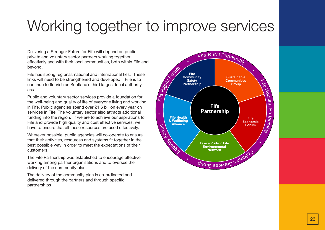# Working together to improve services

Delivering a Stronger Future for Fife will depend on public, private and voluntary sector partners working together effectively and with their local communities, both within Fife and beyond.

Fife has strong regional, national and international ties. These links will need to be strengthened and developed if Fife is to continue to flourish as Scotland's third largest local authority area.

Public and voluntary sector services provide a foundation for the well-being and quality of life of everyone living and working in Fife. Public agencies spend over £1.6 billion every year on services in Fife. The voluntary sector also attracts additional funding into the region. If we are to achieve our aspirations for Fife and provide high quality and cost effective services, we have to ensure that all these resources are used effectively.

Wherever possible, public agencies will co-operate to ensure that their activities, resources and systems fit together in the best possible way in order to meet the expectations of their customers.

The Fife Partnership was established to encourage effective working among partner organisations and to oversee the delivery of the community plan.

The delivery of the community plan is co-ordinated and delivered through the partners and through specific partnerships

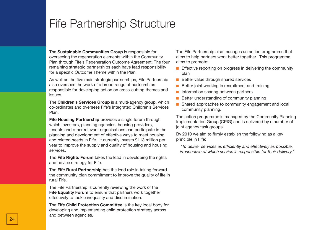## Fife Partnership Structure

The **Sustainable Communities Group** is responsible for overseeing the regeneration elements within the Community Plan through Fife's Regeneration Outcome Agreement. The four remaining strategic partnerships each have lead responsibility for a specific Outcome Theme within the Plan.

As well as the five main strategic partnerships, Fife Partnership also oversees the work of a broad range of partnerships responsible for developing action on cross-cutting themes and issues.

The **Children's Services Group** is a multi-agency group, which co-ordinates and oversees Fife's Integrated Children's Services Plan.

**Fife Housing Partnership** provides a single forum through which investors, planning agencies, housing providers, tenants and other relevant organisations can participate in the planning and development of effective ways to meet housing and related needs in Fife. It currently invests £113 million per year to improve the supply and quality of housing and housing services.

The **Fife Rights Forum** takes the lead in developing the rights and advice strategy for Fife.

The **Fife Rural Partnership** has the lead role in taking forward the community plan commitment to improve the quality of life in rural Fife.

The Fife Partnership is currently reviewing the work of the **Fife Equality Forum** to ensure that partners work together effectively to tackle inequality and discrimination.

The **Fife Child Protection Committee** is the key local body for developing and implementing child protection strategy across **and between agencies.** 24

The Fife Partnership also manages an action programme that aims to help partners work better together. This programme aims to promote:

- Effective reporting on progress in delivering the community plan
- Better value through shared services
- Better joint working in recruitment and training
- Information sharing between partners
- Better understanding of community planning
- Shared approaches to community engagement and local community planning.

The action programme is managed by the Community Planning Implementation Group (CPIG) and is delivered by a number of joint agency task groups.

By 2010 we aim to firmly establish the following as a key principle in Fife:

*'To deliver services as efficiently and effectively as possible, irrespective of which service is responsible for their delivery.'*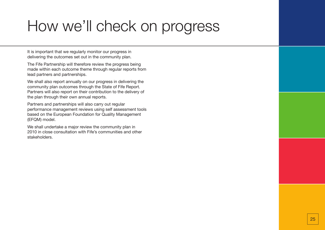# How we'll check on progress

It is important that we regularly monitor our progress in delivering the outcomes set out in the community plan.

The Fife Partnership will therefore review the progress being made within each outcome theme through regular reports from lead partners and partnerships.

We shall also report annually on our progress in delivering the community plan outcomes through the State of Fife Report. Partners will also report on their contribution to the delivery of the plan through their own annual reports.

Partners and partnerships will also carry out regular performance management reviews using self assessment tools based on the European Foundation for Quality Management (EFQM) model.

We shall undertake a major review the community plan in 2010 in close consultation with Fife's communities and other stakeholders.